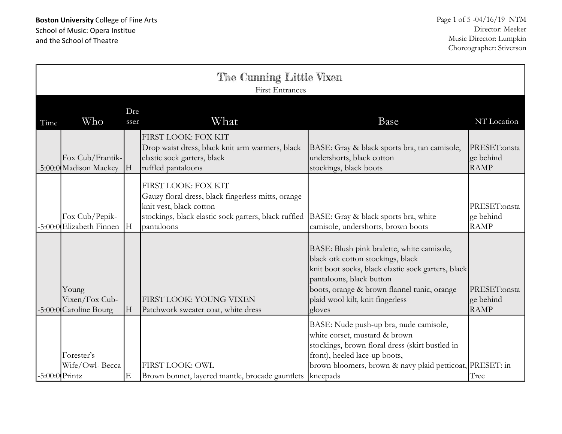| The Cunning Little Vixen<br><b>First Entrances</b> |                                                   |             |                                                                                                                                                                                                                  |                                                                                                                                                                                                                                                                |                                          |
|----------------------------------------------------|---------------------------------------------------|-------------|------------------------------------------------------------------------------------------------------------------------------------------------------------------------------------------------------------------|----------------------------------------------------------------------------------------------------------------------------------------------------------------------------------------------------------------------------------------------------------------|------------------------------------------|
| Time                                               | Who                                               | Dre<br>sser | What                                                                                                                                                                                                             | Base                                                                                                                                                                                                                                                           | NT Location                              |
|                                                    | Fox Cub/Frantik-<br>-5:00:0 Madison Mackey        | H           | FIRST LOOK: FOX KIT<br>Drop waist dress, black knit arm warmers, black<br>elastic sock garters, black<br>ruffled pantaloons                                                                                      | BASE: Gray & black sports bra, tan camisole,<br>undershorts, black cotton<br>stockings, black boots                                                                                                                                                            | PRESET:onsta<br>ge behind<br><b>RAMP</b> |
|                                                    | Fox Cub/Pepik-<br>-5:00:0 Elizabeth Finnen        | H           | FIRST LOOK: FOX KIT<br>Gauzy floral dress, black fingerless mitts, orange<br>knit vest, black cotton<br>stockings, black elastic sock garters, black ruffled  BASE: Gray & black sports bra, white<br>pantaloons | camisole, undershorts, brown boots                                                                                                                                                                                                                             | PRESET:onsta<br>ge behind<br><b>RAMP</b> |
|                                                    | Young<br>Vixen/Fox Cub-<br>-5:00:0 Caroline Bourg | H           | FIRST LOOK: YOUNG VIXEN<br>Patchwork sweater coat, white dress                                                                                                                                                   | BASE: Blush pink bralette, white camisole,<br>black otk cotton stockings, black<br>knit boot socks, black elastic sock garters, black<br>pantaloons, black button<br>boots, orange & brown flannel tunic, orange<br>plaid wool kilt, knit fingerless<br>gloves | PRESET:onsta<br>ge behind<br><b>RAMP</b> |
| $-5:00:0$ Printz                                   | Forester's<br>Wife/Owl- Becca                     | E           | <b>FIRST LOOK: OWL</b><br>Brown bonnet, layered mantle, brocade gauntlets   kneepads                                                                                                                             | BASE: Nude push-up bra, nude camisole,<br>white corset, mustard & brown<br>stockings, brown floral dress (skirt bustled in<br>front), heeled lace-up boots,<br>brown bloomers, brown & navy plaid petticoat, PRESET: in                                        | Tree                                     |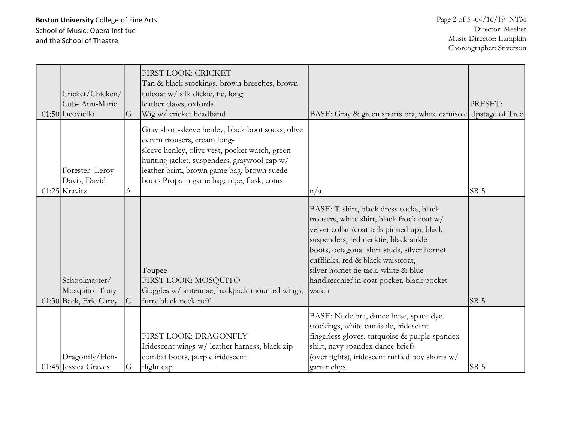| Cricket/Chicken/<br>Cub-Ann-Marie<br>01:50 Iacoviello    | G   | <b>FIRST LOOK: CRICKET</b><br>Tan & black stockings, brown breeches, brown<br>tailcoat w/ silk dickie, tie, long<br>leather claws, oxfords<br>Wig w/ cricket headband                                                                                                         | BASE: Gray & green sports bra, white camisole Upstage of Tree                                                                                                                                                                                                                                                                                                  | PRESET:         |
|----------------------------------------------------------|-----|-------------------------------------------------------------------------------------------------------------------------------------------------------------------------------------------------------------------------------------------------------------------------------|----------------------------------------------------------------------------------------------------------------------------------------------------------------------------------------------------------------------------------------------------------------------------------------------------------------------------------------------------------------|-----------------|
| Forester-Leroy<br>Davis, David<br>$01:25$ Kravitz        | А   | Gray short-sleeve henley, black boot socks, olive<br>denim trousers, cream long-<br>sleeve henley, olive vest, pocket watch, green<br>hunting jacket, suspenders, graywool cap w/<br>leather brim, brown game bag, brown suede<br>boots Props in game bag: pipe, flask, coins | $\ln/a$                                                                                                                                                                                                                                                                                                                                                        | SR <sub>5</sub> |
| Schoolmaster/<br>Mosquito-Tony<br>01:30 Baek, Eric Carey | IC. | Toupee<br>FIRST LOOK: MOSQUITO<br>Goggles w/ antennae, backpack-mounted wings,<br>furry black neck-ruff                                                                                                                                                                       | BASE: T-shirt, black dress socks, black<br>trousers, white shirt, black frock coat w/<br>velvet collar (coat tails pinned up), black<br>suspenders, red necktie, black ankle<br>boots, octagonal shirt studs, silver hornet<br>cufflinks, red & black waistcoat,<br>silver hornet tie tack, white & blue<br>handkerchief in coat pocket, black pocket<br>watch | SR 5            |
| Dragonfly/Hen-<br>01:45 Jessica Graves                   | G   | FIRST LOOK: DRAGONFLY<br>Iridescent wings w/ leather harness, black zip<br>combat boots, purple iridescent<br>flight cap                                                                                                                                                      | BASE: Nude bra, dance hose, space dye<br>stockings, white camisole, iridescent<br>fingerless gloves, turquoise & purple spandex<br>shirt, navy spandex dance briefs<br>(over tights), iridescent ruffled boy shorts w/<br>garter clips                                                                                                                         | SR <sub>5</sub> |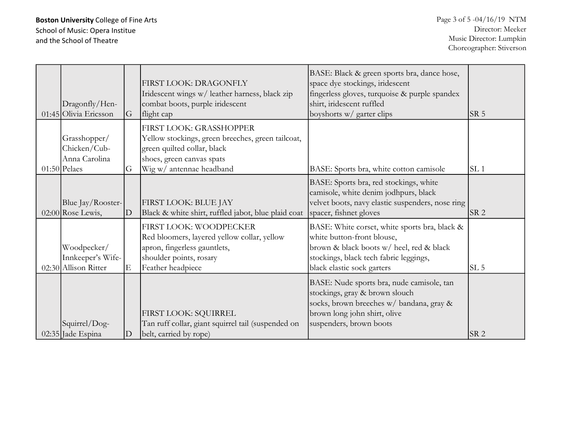Boston University College of Fine Arts School of Music: Opera Institue and the School of Theatre

|                       |                |                                                     | BASE: Black & green sports bra, dance hose,      |                 |
|-----------------------|----------------|-----------------------------------------------------|--------------------------------------------------|-----------------|
|                       |                | FIRST LOOK: DRAGONFLY                               | space dye stockings, iridescent                  |                 |
|                       |                | Iridescent wings w/ leather harness, black zip      | fingerless gloves, turquoise & purple spandex    |                 |
| Dragonfly/Hen-        |                | combat boots, purple iridescent                     | shirt, iridescent ruffled                        |                 |
| 01:45 Olivia Ericsson | G              | flight cap                                          | boyshorts w/ garter clips                        | SR <sub>5</sub> |
|                       |                | FIRST LOOK: GRASSHOPPER                             |                                                  |                 |
| Grasshopper/          |                | Yellow stockings, green breeches, green tailcoat,   |                                                  |                 |
| Chicken/Cub-          |                | green quilted collar, black                         |                                                  |                 |
| Anna Carolina         |                | shoes, green canvas spats                           |                                                  |                 |
| $01:50$ Pelaes        | G              | Wig w/ antennae headband                            | BASE: Sports bra, white cotton camisole          | SL <sub>1</sub> |
|                       |                |                                                     |                                                  |                 |
|                       |                |                                                     | BASE: Sports bra, red stockings, white           |                 |
|                       |                |                                                     | camisole, white denim jodhpurs, black            |                 |
| Blue Jay/Rooster-     |                | FIRST LOOK: BLUE JAY                                | velvet boots, navy elastic suspenders, nose ring |                 |
| $02:00$ Rose Lewis,   | D              | Black & white shirt, ruffled jabot, blue plaid coat | spacer, fishnet gloves                           | SR <sub>2</sub> |
|                       |                | FIRST LOOK: WOODPECKER                              | BASE: White corset, white sports bra, black &    |                 |
|                       |                | Red bloomers, layered yellow collar, yellow         | white button-front blouse,                       |                 |
| Woodpecker/           |                | apron, fingerless gauntlets,                        | brown & black boots w/ heel, red & black         |                 |
| Innkeeper's Wife-     |                | shoulder points, rosary                             | stockings, black tech fabric leggings,           |                 |
| 02:30 Allison Ritter  | E              |                                                     |                                                  | SL <sub>5</sub> |
|                       |                | Feather headpiece                                   | black elastic sock garters                       |                 |
|                       |                |                                                     | BASE: Nude sports bra, nude camisole, tan        |                 |
|                       |                |                                                     | stockings, gray & brown slouch                   |                 |
|                       |                |                                                     | socks, brown breeches w/ bandana, gray &         |                 |
|                       |                | FIRST LOOK: SQUIRREL                                | brown long john shirt, olive                     |                 |
| Squirrel/Dog-         |                | Tan ruff collar, giant squirrel tail (suspended on  | suspenders, brown boots                          |                 |
| 02:35 Jade Espina     | $\overline{D}$ | belt, carried by rope)                              |                                                  | SR <sub>2</sub> |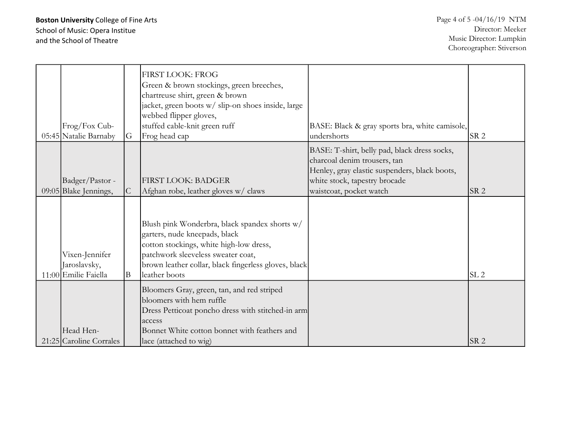| Frog/Fox Cub-<br>05:45 Natalie Barnaby                 | G              | <b>FIRST LOOK: FROG</b><br>Green & brown stockings, green breeches,<br>chartreuse shirt, green & brown<br>jacket, green boots w/ slip-on shoes inside, large<br>webbed flipper gloves,<br>stuffed cable-knit green ruff<br>Frog head cap | BASE: Black & gray sports bra, white camisole,<br>undershorts                                                                                                                             | SR <sub>2</sub> |
|--------------------------------------------------------|----------------|------------------------------------------------------------------------------------------------------------------------------------------------------------------------------------------------------------------------------------------|-------------------------------------------------------------------------------------------------------------------------------------------------------------------------------------------|-----------------|
| Badger/Pastor -<br>09:05 Blake Jennings,               | $\overline{C}$ | <b>FIRST LOOK: BADGER</b><br>Afghan robe, leather gloves w/ claws                                                                                                                                                                        | BASE: T-shirt, belly pad, black dress socks,<br>charcoal denim trousers, tan<br>Henley, gray elastic suspenders, black boots,<br>white stock, tapestry brocade<br>waistcoat, pocket watch | SR <sub>2</sub> |
| Vixen-Jennifer<br>Jaroslavsky,<br>11:00 Emilie Faiella | B              | Blush pink Wonderbra, black spandex shorts w/<br>garters, nude kneepads, black<br>cotton stockings, white high-low dress,<br>patchwork sleeveless sweater coat,<br>brown leather collar, black fingerless gloves, black<br>leather boots |                                                                                                                                                                                           | SL <sub>2</sub> |
| Head Hen-<br>21:25 Caroline Corrales                   |                | Bloomers Gray, green, tan, and red striped<br>bloomers with hem ruffle<br>Dress Petticoat poncho dress with stitched-in arm<br><b>laccess</b><br>Bonnet White cotton bonnet with feathers and<br>lace (attached to wig)                  |                                                                                                                                                                                           | SR <sub>2</sub> |